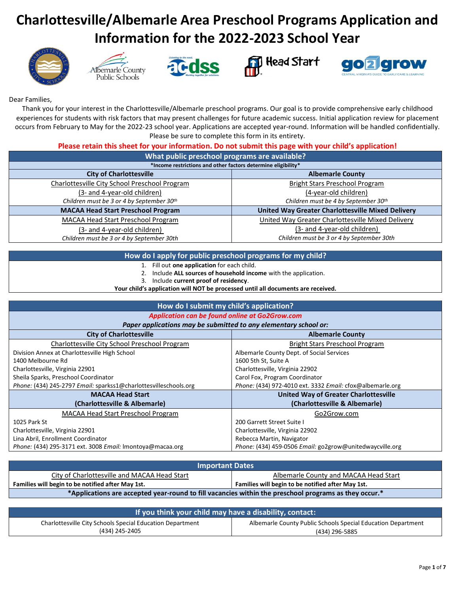## **Charlottesville/Albemarle Area Preschool Programs Application and Information for the 2022-2023 School Year**











Dear Families,

Thank you for your interest in the Charlottesville/Albemarle preschool programs. Our goal is to provide comprehensive early childhood experiences for students with risk factors that may present challenges for future academic success. Initial application review for placement occurs from February to May for the 2022-23 school year. Applications are accepted year-round. Information will be handled confidentially. Please be sure to complete this form in its entirety.

**Please retain this sheet for your information. Do not submit this page with your child's application!**

| What public preschool programs are available?                 |                                                          |  |  |  |  |  |
|---------------------------------------------------------------|----------------------------------------------------------|--|--|--|--|--|
| *Income restrictions and other factors determine eligibility* |                                                          |  |  |  |  |  |
| <b>City of Charlottesville</b>                                | <b>Albemarle County</b>                                  |  |  |  |  |  |
| Charlottesville City School Preschool Program                 | Bright Stars Preschool Program                           |  |  |  |  |  |
| (3- and 4-year-old children)                                  | (4-year-old children)                                    |  |  |  |  |  |
| Children must be 3 or 4 by September 30th                     | Children must be 4 by September 30th                     |  |  |  |  |  |
| <b>MACAA Head Start Preschool Program</b>                     | <b>United Way Greater Charlottesville Mixed Delivery</b> |  |  |  |  |  |
| MACAA Head Start Preschool Program                            | United Way Greater Charlottesville Mixed Delivery        |  |  |  |  |  |
| (3- and 4-year-old children)                                  | (3- and 4-year-old children)                             |  |  |  |  |  |
| Children must be 3 or 4 by September 30th                     | Children must be 3 or 4 by September 30th                |  |  |  |  |  |

## **How do I apply for public preschool programs for my child?**

- 1. Fill out **one application** for each child.
- 2. Include **ALL sources of household income** with the application.
- 3. Include **current proof of residency**.

**Your child's application will NOT be processed until all documents are received.**

| How do I submit my child's application?                          |                                                           |  |  |  |  |
|------------------------------------------------------------------|-----------------------------------------------------------|--|--|--|--|
| <b>Application can be found online at Go2Grow.com</b>            |                                                           |  |  |  |  |
| Paper applications may be submitted to any elementary school or: |                                                           |  |  |  |  |
| <b>City of Charlottesville</b>                                   | <b>Albemarle County</b>                                   |  |  |  |  |
| Charlottesville City School Preschool Program                    | Bright Stars Preschool Program                            |  |  |  |  |
| Division Annex at Charlottesville High School                    | Albemarle County Dept. of Social Services                 |  |  |  |  |
| 1400 Melbourne Rd                                                | 1600 5th St, Suite A                                      |  |  |  |  |
| Charlottesville, Virginia 22901                                  | Charlottesville, Virginia 22902                           |  |  |  |  |
| Sheila Sparks, Preschool Coordinator                             | Carol Fox, Program Coordinator                            |  |  |  |  |
| Phone: (434) 245-2797 Email: sparkss1@charlottesvilleschools.org | Phone: (434) 972-4010 ext. 3332 Email: cfox@albemarle.org |  |  |  |  |
| <b>MACAA Head Start</b>                                          | <b>United Way of Greater Charlottesville</b>              |  |  |  |  |
| (Charlottesville & Albemarle)                                    | (Charlottesville & Albemarle)                             |  |  |  |  |
| MACAA Head Start Preschool Program                               | Go2Grow.com                                               |  |  |  |  |
| 1025 Park St                                                     | 200 Garrett Street Suite I                                |  |  |  |  |
| Charlottesville, Virginia 22901                                  | Charlottesville, Virginia 22902                           |  |  |  |  |
| Lina Abril, Enrollment Coordinator                               | Rebecca Martin, Navigator                                 |  |  |  |  |
| Phone: (434) 295-3171 ext. 3008 Email: Imontoya@macaa.org        | Phone: (434) 459-0506 Email: go2grow@unitedwaycville.org  |  |  |  |  |

| <b>Important Dates</b>                                                                                |                                                   |  |  |  |  |
|-------------------------------------------------------------------------------------------------------|---------------------------------------------------|--|--|--|--|
| City of Charlottesville and MACAA Head Start                                                          | Albemarle County and MACAA Head Start             |  |  |  |  |
| Families will begin to be notified after May 1st.                                                     | Families will begin to be notified after May 1st. |  |  |  |  |
| *Applications are accepted year-round to fill vacancies within the preschool programs as they occur.* |                                                   |  |  |  |  |

| If you think your child may have a disability, contact:   |                                                              |  |  |  |
|-----------------------------------------------------------|--------------------------------------------------------------|--|--|--|
| Charlottesville City Schools Special Education Department | Albemarle County Public Schools Special Education Department |  |  |  |
| (434) 245-2405                                            | (434) 296-5885                                               |  |  |  |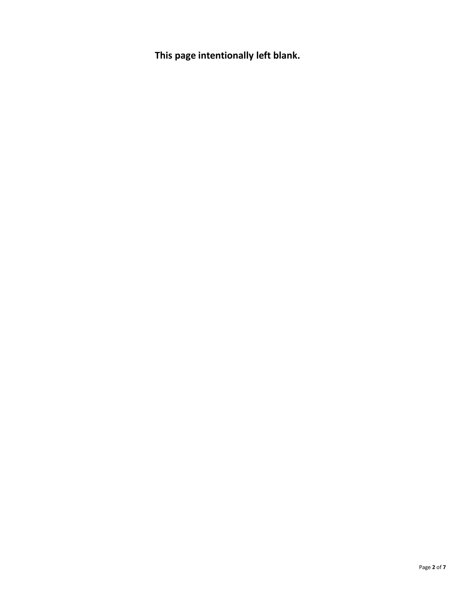**This page intentionally left blank.**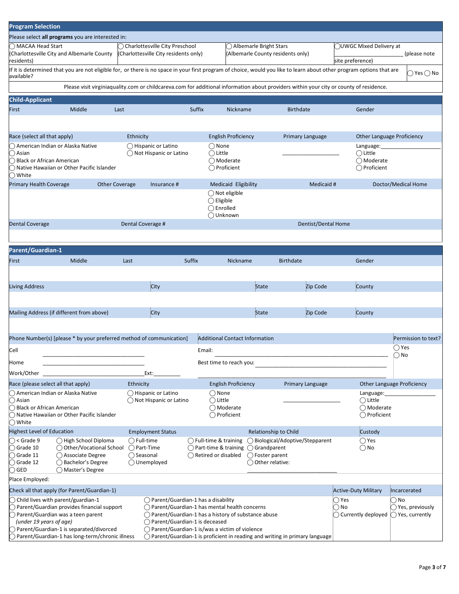| <b>Program Selection</b>                                                                                                                                                                                                                                                       |                                                                   |                                                                                                                                                                                                                                                                |                                                                                                                            |                            |                                                             |                                                                                       |                                                                                                                                         |                                                                          |
|--------------------------------------------------------------------------------------------------------------------------------------------------------------------------------------------------------------------------------------------------------------------------------|-------------------------------------------------------------------|----------------------------------------------------------------------------------------------------------------------------------------------------------------------------------------------------------------------------------------------------------------|----------------------------------------------------------------------------------------------------------------------------|----------------------------|-------------------------------------------------------------|---------------------------------------------------------------------------------------|-----------------------------------------------------------------------------------------------------------------------------------------|--------------------------------------------------------------------------|
| Please select all programs you are interested in:                                                                                                                                                                                                                              |                                                                   |                                                                                                                                                                                                                                                                |                                                                                                                            |                            |                                                             |                                                                                       |                                                                                                                                         |                                                                          |
| MACAA Head Start<br>(Charlottesville City and Albemarle County                                                                                                                                                                                                                 |                                                                   | Charlottesville City Preschool<br>(Charlottesville City residents only)                                                                                                                                                                                        |                                                                                                                            |                            | Albemarle Bright Stars<br>(Albemarle County residents only) |                                                                                       | UWGC Mixed Delivery at<br>site preference)                                                                                              | (please note                                                             |
| residents)<br>If it is determined that you are not eligible for, or there is no space in your first program of choice, would you like to learn about other program options that are<br>available?                                                                              |                                                                   |                                                                                                                                                                                                                                                                |                                                                                                                            |                            |                                                             |                                                                                       |                                                                                                                                         | ()Yes ( )No                                                              |
|                                                                                                                                                                                                                                                                                |                                                                   |                                                                                                                                                                                                                                                                |                                                                                                                            |                            |                                                             |                                                                                       | Please visit virginiaquality.com or childcareva.com for additional information about providers within your city or county of residence. |                                                                          |
| <b>Child-Applicant</b>                                                                                                                                                                                                                                                         |                                                                   |                                                                                                                                                                                                                                                                |                                                                                                                            |                            |                                                             |                                                                                       |                                                                                                                                         |                                                                          |
| Middle<br>First                                                                                                                                                                                                                                                                | Last                                                              |                                                                                                                                                                                                                                                                | Suffix                                                                                                                     | Nickname                   |                                                             | <b>Birthdate</b>                                                                      | Gender                                                                                                                                  |                                                                          |
|                                                                                                                                                                                                                                                                                |                                                                   |                                                                                                                                                                                                                                                                |                                                                                                                            |                            |                                                             |                                                                                       |                                                                                                                                         |                                                                          |
| Race (select all that apply)                                                                                                                                                                                                                                                   | <b>Ethnicity</b>                                                  |                                                                                                                                                                                                                                                                |                                                                                                                            | <b>English Proficiency</b> |                                                             | Primary Language                                                                      | Other Language Proficiency                                                                                                              |                                                                          |
| $\bigcirc$ American Indian or Alaska Native<br>$\bigcirc$ Asian<br>◯ Black or African American<br>$\bigcirc$ Native Hawaiian or Other Pacific Islander<br>$\bigcirc$ White                                                                                                     |                                                                   | ( ) Hispanic or Latino<br>( ) Not Hispanic or Latino                                                                                                                                                                                                           | () None<br>( ) Little<br>()Moderate<br>$\bigcap$ Proficient                                                                |                            |                                                             |                                                                                       | Language:<br>( ) Little<br>() Moderate<br>$\bigcap$ Proficient                                                                          |                                                                          |
| Primary Health Coverage                                                                                                                                                                                                                                                        | <b>Other Coverage</b>                                             | Insurance #                                                                                                                                                                                                                                                    |                                                                                                                            | Medicaid Eligibility       |                                                             | Medicaid #                                                                            |                                                                                                                                         | Doctor/Medical Home                                                      |
|                                                                                                                                                                                                                                                                                |                                                                   |                                                                                                                                                                                                                                                                | ( ) Not eligible<br>$\bigcap$ Eligible<br>$\bigcap$ Enrolled<br>◯ Unknown                                                  |                            |                                                             |                                                                                       |                                                                                                                                         |                                                                          |
| <b>Dental Coverage</b>                                                                                                                                                                                                                                                         | Dental Coverage #                                                 |                                                                                                                                                                                                                                                                |                                                                                                                            |                            |                                                             | Dentist/Dental Home                                                                   |                                                                                                                                         |                                                                          |
|                                                                                                                                                                                                                                                                                |                                                                   |                                                                                                                                                                                                                                                                |                                                                                                                            |                            |                                                             |                                                                                       |                                                                                                                                         |                                                                          |
| <b>Parent/Guardian-1</b>                                                                                                                                                                                                                                                       |                                                                   |                                                                                                                                                                                                                                                                |                                                                                                                            |                            |                                                             |                                                                                       |                                                                                                                                         |                                                                          |
| First<br>Middle                                                                                                                                                                                                                                                                | Last                                                              | Suffix                                                                                                                                                                                                                                                         |                                                                                                                            | Nickname                   |                                                             | <b>Birthdate</b>                                                                      | Gender                                                                                                                                  |                                                                          |
|                                                                                                                                                                                                                                                                                |                                                                   |                                                                                                                                                                                                                                                                |                                                                                                                            |                            |                                                             |                                                                                       |                                                                                                                                         |                                                                          |
| <b>Living Address</b>                                                                                                                                                                                                                                                          |                                                                   | City                                                                                                                                                                                                                                                           |                                                                                                                            |                            | <b>State</b>                                                | Zip Code                                                                              | County                                                                                                                                  |                                                                          |
| Mailing Address (if different from above)                                                                                                                                                                                                                                      |                                                                   | City                                                                                                                                                                                                                                                           |                                                                                                                            |                            | State                                                       | Zip Code                                                                              | County                                                                                                                                  |                                                                          |
|                                                                                                                                                                                                                                                                                |                                                                   |                                                                                                                                                                                                                                                                |                                                                                                                            |                            |                                                             |                                                                                       |                                                                                                                                         |                                                                          |
| Phone Number(s) [please * by your preferred method of communication]                                                                                                                                                                                                           |                                                                   |                                                                                                                                                                                                                                                                | Additional Contact Information                                                                                             |                            |                                                             |                                                                                       |                                                                                                                                         | Permission to text?                                                      |
| Cell                                                                                                                                                                                                                                                                           |                                                                   |                                                                                                                                                                                                                                                                | Email:                                                                                                                     |                            |                                                             |                                                                                       |                                                                                                                                         | $\bigcirc$ Yes                                                           |
| Home                                                                                                                                                                                                                                                                           | Best time to reach you:                                           |                                                                                                                                                                                                                                                                |                                                                                                                            |                            | $\bigcap$ No                                                |                                                                                       |                                                                                                                                         |                                                                          |
| Work/Other                                                                                                                                                                                                                                                                     |                                                                   | Ext:                                                                                                                                                                                                                                                           |                                                                                                                            |                            |                                                             |                                                                                       |                                                                                                                                         |                                                                          |
|                                                                                                                                                                                                                                                                                |                                                                   |                                                                                                                                                                                                                                                                |                                                                                                                            |                            |                                                             |                                                                                       |                                                                                                                                         | <b>Other Language Proficiency</b>                                        |
| Race (please select all that apply)<br>$\bigcirc$ American Indian or Alaska Native<br>$\bigcirc$ Asian<br>$\bigcirc$ Black or African American<br>$\bigcap$ Native Hawaiian or Other Pacific Islander<br>$\bigcirc$ White                                                      | Ethnicity                                                         | () Hispanic or Latino<br>() Not Hispanic or Latino                                                                                                                                                                                                             | $\bigcap$ None<br>$\bigcap$ Little<br>()Moderate<br>$\bigcap$ Proficient                                                   | <b>English Proficiency</b> |                                                             | Primary Language                                                                      | Language:<br>$\bigcirc$ Little<br>◯ Moderate<br>$\bigcirc$ Proficient                                                                   |                                                                          |
| <b>Highest Level of Education</b>                                                                                                                                                                                                                                              |                                                                   | <b>Employment Status</b>                                                                                                                                                                                                                                       |                                                                                                                            |                            | Relationship to Child                                       |                                                                                       | Custody                                                                                                                                 |                                                                          |
| $\bigcirc$ < Grade 9<br>() High School Diploma<br>$\bigcirc$ Grade 10<br>◯ Other/Vocational School<br>$\bigcirc$ Grade 11<br>◯ Associate Degree<br>$\bigcirc$ Grade 12<br>◯ Bachelor's Degree<br>$\bigcirc$ ged<br>◯ Master's Degree                                           | $\bigcap$ Full-time<br>$\bigcap$ Part-Time<br>$\bigcirc$ Seasonal | $\bigcirc$ Unemployed                                                                                                                                                                                                                                          | $\bigcirc$ Full-time & training<br>$\bigcirc$ Part-time & training $\bigcirc$ Grandparent<br>$\bigcap$ Retired or disabled |                            | $\bigcirc$ Foster parent<br>$\bigcirc$ Other relative:      | ◯ Biological/Adoptive/Stepparent                                                      | $\bigcirc$ Yes<br>$\bigcirc$ No                                                                                                         |                                                                          |
| Place Employed:                                                                                                                                                                                                                                                                |                                                                   |                                                                                                                                                                                                                                                                |                                                                                                                            |                            |                                                             |                                                                                       |                                                                                                                                         |                                                                          |
| Check all that apply (for Parent/Guardian-1)                                                                                                                                                                                                                                   |                                                                   |                                                                                                                                                                                                                                                                |                                                                                                                            |                            |                                                             |                                                                                       | <b>Active-Duty Military</b>                                                                                                             | Incarcerated                                                             |
| $\bigcirc$ Child lives with parent/guardian-1<br>$\bigcirc$ Parent/Guardian provides financial support<br>$\bigcap$ Parent/Guardian was a teen parent<br>(under 19 years of age)<br>Parent/Guardian-1 is separated/divorced<br>Parent/Guardian-1 has long-term/chronic illness |                                                                   | $\bigcirc$ Parent/Guardian-1 has a disability<br>$\bigcap$ Parent/Guardian-1 has mental health concerns<br>$\bigcirc$ Parent/Guardian-1 has a history of substance abuse<br>◯ Parent/Guardian-1 is deceased<br>◯ Parent/Guardian-1 is/was a victim of violence |                                                                                                                            |                            |                                                             | $\bigcirc$ Parent/Guardian-1 is proficient in reading and writing in primary language | $\bigcirc$ Yes<br>$\bigcap$ No<br>$\bigcirc$ Currently deployed                                                                         | $\bigcirc$ No<br>$\bigcirc$ Yes, previously<br>$\bigcirc$ Yes, currently |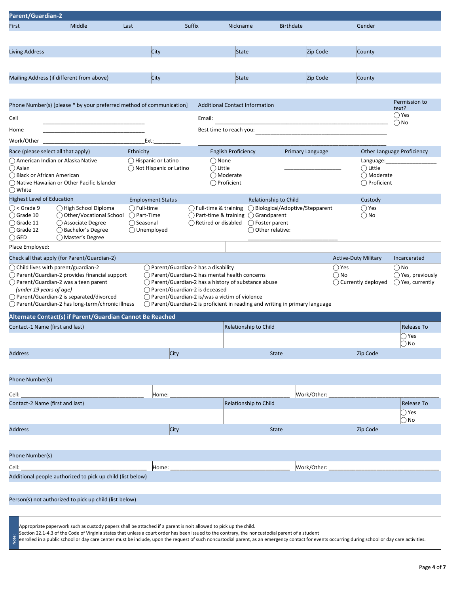| Parent/Guardian-2                                                                                                         |                                            |                                                                                                                                                   |                                       |                                                                                       |                                                |                                                         |
|---------------------------------------------------------------------------------------------------------------------------|--------------------------------------------|---------------------------------------------------------------------------------------------------------------------------------------------------|---------------------------------------|---------------------------------------------------------------------------------------|------------------------------------------------|---------------------------------------------------------|
| Middle<br>First                                                                                                           | Last                                       | Suffix                                                                                                                                            | Nickname                              | <b>Birthdate</b>                                                                      | Gender                                         |                                                         |
|                                                                                                                           |                                            |                                                                                                                                                   |                                       |                                                                                       |                                                |                                                         |
| <b>Living Address</b>                                                                                                     | City                                       |                                                                                                                                                   | State                                 | Zip Code                                                                              | County                                         |                                                         |
|                                                                                                                           |                                            |                                                                                                                                                   |                                       |                                                                                       |                                                |                                                         |
|                                                                                                                           |                                            |                                                                                                                                                   |                                       |                                                                                       |                                                |                                                         |
| Mailing Address (if different from above)                                                                                 | City                                       |                                                                                                                                                   | State                                 | Zip Code                                                                              | County                                         |                                                         |
|                                                                                                                           |                                            |                                                                                                                                                   |                                       |                                                                                       |                                                |                                                         |
| Phone Number(s) [please * by your preferred method of communication]                                                      |                                            |                                                                                                                                                   | <b>Additional Contact Information</b> |                                                                                       |                                                | Permission to<br>text?                                  |
| Cell                                                                                                                      |                                            | Email:                                                                                                                                            |                                       |                                                                                       |                                                | () Yes                                                  |
| Home                                                                                                                      |                                            | Best time to reach you:                                                                                                                           |                                       |                                                                                       |                                                | $\bigcap$ No                                            |
| Work/Other                                                                                                                | Ext:                                       |                                                                                                                                                   |                                       |                                                                                       |                                                |                                                         |
| Race (please select all that apply)                                                                                       | Ethnicity                                  | <b>English Proficiency</b>                                                                                                                        |                                       | <b>Primary Language</b>                                                               |                                                | <b>Other Language Proficiency</b>                       |
| American Indian or Alaska Native                                                                                          | ◯ Hispanic or Latino                       | () None                                                                                                                                           |                                       |                                                                                       | Language:                                      |                                                         |
| 〔 ) Asian<br>Black or African American                                                                                    | ◯ Not Hispanic or Latino                   | () Little<br>◯ Moderate                                                                                                                           |                                       |                                                                                       | () Little<br>◯ Moderate                        |                                                         |
| ◯ Native Hawaiian or Other Pacific Islander<br>$\bigcirc$ White                                                           |                                            | $\bigcirc$ Proficient                                                                                                                             |                                       |                                                                                       | $\bigcirc$ Proficient                          |                                                         |
| Highest Level of Education                                                                                                | <b>Employment Status</b>                   |                                                                                                                                                   | Relationship to Child                 |                                                                                       | Custody                                        |                                                         |
| $\bigcirc$ < Grade 9<br>() High School Diploma<br>$\bigcirc$ Grade 10<br>◯ Other/Vocational School                        | $\bigcap$ Full-time<br>$\bigcap$ Part-Time |                                                                                                                                                   |                                       | ◯ Full-time & training ◯ Biological/Adoptive/Stepparent                               | $\bigcirc$ Yes                                 |                                                         |
| $\bigcirc$ Grade 11<br>◯ Associate Degree                                                                                 | $\bigcirc$ Seasonal                        | $\bigcirc$ Part-time & training $\bigcirc$ Grandparent<br>◯ Retired or disabled                                                                   | $\bigcirc$ Foster parent              |                                                                                       | $\bigcirc$ No                                  |                                                         |
| $\bigcirc$ Grade 12<br>◯ Bachelor's Degree                                                                                | $\bigcirc$ Unemployed                      |                                                                                                                                                   | ◯ Other relative:                     |                                                                                       |                                                |                                                         |
| $\bigcirc$ GED<br>◯ Master's Degree<br>Place Employed:                                                                    |                                            |                                                                                                                                                   |                                       |                                                                                       |                                                |                                                         |
| Check all that apply (for Parent/Guardian-2)                                                                              |                                            |                                                                                                                                                   |                                       |                                                                                       | <b>Active-Duty Military</b>                    | Incarcerated                                            |
| $\bigcirc$ Child lives with parent/guardian-2                                                                             |                                            | $\bigcirc$ Parent/Guardian-2 has a disability                                                                                                     |                                       |                                                                                       | $\bigcirc$ Yes                                 | $\bigcirc$ No                                           |
| $\bigcirc$ Parent/Guardian-2 provides financial support<br>Parent/Guardian-2 was a teen parent<br>(under 19 years of age) |                                            | ◯ Parent/Guardian-2 has mental health concerns<br>◯ Parent/Guardian-2 has a history of substance abuse<br>$\bigcap$ Parent/Guardian-2 is deceased |                                       |                                                                                       | $\bigcirc$ No<br>$\bigcirc$ Currently deployed | $\bigcirc$ Yes, previously<br>$\bigcirc$ Yes, currently |
| Parent/Guardian-2 is separated/divorced<br>○ Parent/Guardian-2 has long-term/chronic illness                              |                                            | ◯ Parent/Guardian-2 is/was a victim of violence                                                                                                   |                                       | $\bigcirc$ Parent/Guardian-2 is proficient in reading and writing in primary language |                                                |                                                         |
| Alternate Contact(s) if Parent/Guardian Cannot Be Reached                                                                 |                                            |                                                                                                                                                   |                                       |                                                                                       |                                                |                                                         |
| Contact-1 Name (first and last)                                                                                           |                                            |                                                                                                                                                   | <b>Relationship to Child</b>          |                                                                                       |                                                | Release To                                              |
|                                                                                                                           |                                            |                                                                                                                                                   |                                       |                                                                                       |                                                | ( ) Yes<br>$\bigcirc$ No                                |
| <b>Address</b>                                                                                                            | City                                       |                                                                                                                                                   |                                       | <b>State</b>                                                                          | Zip Code                                       |                                                         |
|                                                                                                                           |                                            |                                                                                                                                                   |                                       |                                                                                       |                                                |                                                         |
| Phone Number(s)                                                                                                           |                                            |                                                                                                                                                   |                                       |                                                                                       |                                                |                                                         |
|                                                                                                                           |                                            |                                                                                                                                                   |                                       |                                                                                       |                                                |                                                         |
| Cell:<br>Contact-2 Name (first and last)                                                                                  | Home:                                      |                                                                                                                                                   | Relationship to Child                 | Work/Other:                                                                           |                                                | Release To                                              |
|                                                                                                                           |                                            |                                                                                                                                                   |                                       |                                                                                       |                                                | $\bigcirc$ Yes<br>$\bigcirc$ No                         |
| <b>Address</b>                                                                                                            | City                                       |                                                                                                                                                   |                                       | State                                                                                 | Zip Code                                       |                                                         |
|                                                                                                                           |                                            |                                                                                                                                                   |                                       |                                                                                       |                                                |                                                         |
| Phone Number(s)                                                                                                           |                                            |                                                                                                                                                   |                                       |                                                                                       |                                                |                                                         |
| Cell:                                                                                                                     | Home:                                      |                                                                                                                                                   |                                       | Work/Other:                                                                           |                                                |                                                         |
| Additional people authorized to pick up child (list below)                                                                |                                            |                                                                                                                                                   |                                       |                                                                                       |                                                |                                                         |
|                                                                                                                           |                                            |                                                                                                                                                   |                                       |                                                                                       |                                                |                                                         |
| Person(s) not authorized to pick up child (list below)                                                                    |                                            |                                                                                                                                                   |                                       |                                                                                       |                                                |                                                         |
|                                                                                                                           |                                            |                                                                                                                                                   |                                       |                                                                                       |                                                |                                                         |
| Appropriate paperwork such as custody papers shall be attached if a parent is noit allowed to pick up the child.          |                                            |                                                                                                                                                   |                                       |                                                                                       |                                                |                                                         |
|                                                                                                                           |                                            |                                                                                                                                                   |                                       |                                                                                       |                                                |                                                         |

Section 22.1-4.3 of the Code of Virginia states that unless a court order has been issued to the contrary, the noncustodial parent of a student

**Note**: enrolled in a public school or day care center must be include, upon the request of such noncustodial parent, as an emergency contact for events occurring during school or day care activities.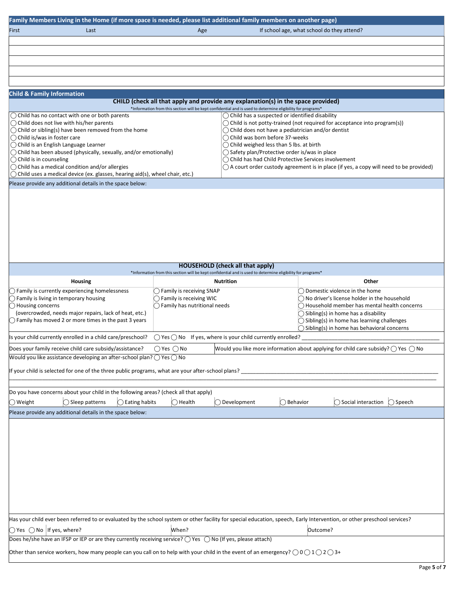| <b>Child &amp; Family Information</b><br>CHILD (check all that apply and provide any explanation(s) in the space provided)<br>*Information from this section will be kept confidential and is used to determine eligibility for programs*<br>$\bigcirc$ Child has no contact with one or both parents<br>$\bigcirc$ Child has a suspected or identified disability<br>$\bigcirc$ Child does not live with his/her parents<br>$\bigcirc$ Child is not potty-trained (not required for acceptance into program(s))<br>$\bigcirc$ Child or sibling(s) have been removed from the home<br>$\bigcirc$ Child does not have a pediatrician and/or dentist<br>$\bigcirc$ Child is/was in foster care<br>◯ Child was born before 37-weeks<br>◯ Child is an English Language Learner<br>$\bigcirc$ Child weighed less than 5 lbs. at birth<br>$\bigcirc$ Child has been abused (physically, sexually, and/or emotionally)<br>$\bigcirc$ Safety plan/Protective order is/was in place<br>$\bigcirc$ Child is in counseling<br>$\bigcap$ Child has had Child Protective Services involvement<br>$\bigcirc$ Child has a medical condition and/or allergies<br>$\bigcirc$ A court order custody agreement is in place (if yes, a copy will need to be provided)<br>$\bigcirc$ Child uses a medical device (ex. glasses, hearing aid(s), wheel chair, etc.)<br>Please provide any additional details in the space below:<br><b>HOUSEHOLD</b> (check all that apply)<br>*Information from this section will be kept confidential and is used to determine eligibility for programs*<br>Housing<br><b>Nutrition</b><br>Other<br>$\bigcirc$ Family is currently experiencing homelessness<br>$\bigcirc$ Family is receiving SNAP<br>$\bigcirc$ Domestic violence in the home<br>$\bigcirc$ Family is living in temporary housing<br>$\bigcirc$ Family is receiving WIC<br>$\bigcap$ Housing concerns<br>$\bigcirc$ Family has nutritional needs<br>(overcrowded, needs major repairs, lack of heat, etc.)<br>$\bigcirc$ Sibling(s) in home has a disability<br>$\bigcirc$ Family has moved 2 or more times in the past 3 years<br>Is your child currently enrolled in a child care/preschool?<br>$\bigcap$ Yes $\bigcap$ No If yes, where is your child currently enrolled?<br>$\bigcirc$ Yes $\bigcirc$ No<br>Would you like more information about applying for child care subsidy? $\bigcirc$ Yes $\bigcirc$ No<br>Does your family receive child care subsidy/assistance?<br>Would you like assistance developing an after-school plan? $\bigcirc$ Yes $\bigcirc$ No<br>If your child is selected for one of the three public programs, what are your after-school plans?<br>Do you have concerns about your child in the following areas? (check all that apply) |          | Last                      | Age               | If school age, what school do they attend?             |
|-----------------------------------------------------------------------------------------------------------------------------------------------------------------------------------------------------------------------------------------------------------------------------------------------------------------------------------------------------------------------------------------------------------------------------------------------------------------------------------------------------------------------------------------------------------------------------------------------------------------------------------------------------------------------------------------------------------------------------------------------------------------------------------------------------------------------------------------------------------------------------------------------------------------------------------------------------------------------------------------------------------------------------------------------------------------------------------------------------------------------------------------------------------------------------------------------------------------------------------------------------------------------------------------------------------------------------------------------------------------------------------------------------------------------------------------------------------------------------------------------------------------------------------------------------------------------------------------------------------------------------------------------------------------------------------------------------------------------------------------------------------------------------------------------------------------------------------------------------------------------------------------------------------------------------------------------------------------------------------------------------------------------------------------------------------------------------------------------------------------------------------------------------------------------------------------------------------------------------------------------------------------------------------------------------------------------------------------------------------------------------------------------------------------------------------------------------------------------------------------------------------------------------------------------------------------------------------------------------------------------------------------------------------------------------------------------------------------------------------------------------|----------|---------------------------|-------------------|--------------------------------------------------------|
|                                                                                                                                                                                                                                                                                                                                                                                                                                                                                                                                                                                                                                                                                                                                                                                                                                                                                                                                                                                                                                                                                                                                                                                                                                                                                                                                                                                                                                                                                                                                                                                                                                                                                                                                                                                                                                                                                                                                                                                                                                                                                                                                                                                                                                                                                                                                                                                                                                                                                                                                                                                                                                                                                                                                                     |          |                           |                   |                                                        |
|                                                                                                                                                                                                                                                                                                                                                                                                                                                                                                                                                                                                                                                                                                                                                                                                                                                                                                                                                                                                                                                                                                                                                                                                                                                                                                                                                                                                                                                                                                                                                                                                                                                                                                                                                                                                                                                                                                                                                                                                                                                                                                                                                                                                                                                                                                                                                                                                                                                                                                                                                                                                                                                                                                                                                     |          |                           |                   |                                                        |
|                                                                                                                                                                                                                                                                                                                                                                                                                                                                                                                                                                                                                                                                                                                                                                                                                                                                                                                                                                                                                                                                                                                                                                                                                                                                                                                                                                                                                                                                                                                                                                                                                                                                                                                                                                                                                                                                                                                                                                                                                                                                                                                                                                                                                                                                                                                                                                                                                                                                                                                                                                                                                                                                                                                                                     |          |                           |                   |                                                        |
|                                                                                                                                                                                                                                                                                                                                                                                                                                                                                                                                                                                                                                                                                                                                                                                                                                                                                                                                                                                                                                                                                                                                                                                                                                                                                                                                                                                                                                                                                                                                                                                                                                                                                                                                                                                                                                                                                                                                                                                                                                                                                                                                                                                                                                                                                                                                                                                                                                                                                                                                                                                                                                                                                                                                                     |          |                           |                   |                                                        |
|                                                                                                                                                                                                                                                                                                                                                                                                                                                                                                                                                                                                                                                                                                                                                                                                                                                                                                                                                                                                                                                                                                                                                                                                                                                                                                                                                                                                                                                                                                                                                                                                                                                                                                                                                                                                                                                                                                                                                                                                                                                                                                                                                                                                                                                                                                                                                                                                                                                                                                                                                                                                                                                                                                                                                     |          |                           |                   |                                                        |
|                                                                                                                                                                                                                                                                                                                                                                                                                                                                                                                                                                                                                                                                                                                                                                                                                                                                                                                                                                                                                                                                                                                                                                                                                                                                                                                                                                                                                                                                                                                                                                                                                                                                                                                                                                                                                                                                                                                                                                                                                                                                                                                                                                                                                                                                                                                                                                                                                                                                                                                                                                                                                                                                                                                                                     |          |                           |                   |                                                        |
|                                                                                                                                                                                                                                                                                                                                                                                                                                                                                                                                                                                                                                                                                                                                                                                                                                                                                                                                                                                                                                                                                                                                                                                                                                                                                                                                                                                                                                                                                                                                                                                                                                                                                                                                                                                                                                                                                                                                                                                                                                                                                                                                                                                                                                                                                                                                                                                                                                                                                                                                                                                                                                                                                                                                                     |          |                           |                   |                                                        |
|                                                                                                                                                                                                                                                                                                                                                                                                                                                                                                                                                                                                                                                                                                                                                                                                                                                                                                                                                                                                                                                                                                                                                                                                                                                                                                                                                                                                                                                                                                                                                                                                                                                                                                                                                                                                                                                                                                                                                                                                                                                                                                                                                                                                                                                                                                                                                                                                                                                                                                                                                                                                                                                                                                                                                     |          |                           |                   |                                                        |
|                                                                                                                                                                                                                                                                                                                                                                                                                                                                                                                                                                                                                                                                                                                                                                                                                                                                                                                                                                                                                                                                                                                                                                                                                                                                                                                                                                                                                                                                                                                                                                                                                                                                                                                                                                                                                                                                                                                                                                                                                                                                                                                                                                                                                                                                                                                                                                                                                                                                                                                                                                                                                                                                                                                                                     |          |                           |                   |                                                        |
|                                                                                                                                                                                                                                                                                                                                                                                                                                                                                                                                                                                                                                                                                                                                                                                                                                                                                                                                                                                                                                                                                                                                                                                                                                                                                                                                                                                                                                                                                                                                                                                                                                                                                                                                                                                                                                                                                                                                                                                                                                                                                                                                                                                                                                                                                                                                                                                                                                                                                                                                                                                                                                                                                                                                                     |          |                           |                   |                                                        |
|                                                                                                                                                                                                                                                                                                                                                                                                                                                                                                                                                                                                                                                                                                                                                                                                                                                                                                                                                                                                                                                                                                                                                                                                                                                                                                                                                                                                                                                                                                                                                                                                                                                                                                                                                                                                                                                                                                                                                                                                                                                                                                                                                                                                                                                                                                                                                                                                                                                                                                                                                                                                                                                                                                                                                     |          |                           |                   |                                                        |
|                                                                                                                                                                                                                                                                                                                                                                                                                                                                                                                                                                                                                                                                                                                                                                                                                                                                                                                                                                                                                                                                                                                                                                                                                                                                                                                                                                                                                                                                                                                                                                                                                                                                                                                                                                                                                                                                                                                                                                                                                                                                                                                                                                                                                                                                                                                                                                                                                                                                                                                                                                                                                                                                                                                                                     |          |                           |                   |                                                        |
|                                                                                                                                                                                                                                                                                                                                                                                                                                                                                                                                                                                                                                                                                                                                                                                                                                                                                                                                                                                                                                                                                                                                                                                                                                                                                                                                                                                                                                                                                                                                                                                                                                                                                                                                                                                                                                                                                                                                                                                                                                                                                                                                                                                                                                                                                                                                                                                                                                                                                                                                                                                                                                                                                                                                                     |          |                           |                   |                                                        |
|                                                                                                                                                                                                                                                                                                                                                                                                                                                                                                                                                                                                                                                                                                                                                                                                                                                                                                                                                                                                                                                                                                                                                                                                                                                                                                                                                                                                                                                                                                                                                                                                                                                                                                                                                                                                                                                                                                                                                                                                                                                                                                                                                                                                                                                                                                                                                                                                                                                                                                                                                                                                                                                                                                                                                     |          |                           |                   |                                                        |
|                                                                                                                                                                                                                                                                                                                                                                                                                                                                                                                                                                                                                                                                                                                                                                                                                                                                                                                                                                                                                                                                                                                                                                                                                                                                                                                                                                                                                                                                                                                                                                                                                                                                                                                                                                                                                                                                                                                                                                                                                                                                                                                                                                                                                                                                                                                                                                                                                                                                                                                                                                                                                                                                                                                                                     |          |                           |                   |                                                        |
|                                                                                                                                                                                                                                                                                                                                                                                                                                                                                                                                                                                                                                                                                                                                                                                                                                                                                                                                                                                                                                                                                                                                                                                                                                                                                                                                                                                                                                                                                                                                                                                                                                                                                                                                                                                                                                                                                                                                                                                                                                                                                                                                                                                                                                                                                                                                                                                                                                                                                                                                                                                                                                                                                                                                                     |          |                           |                   |                                                        |
|                                                                                                                                                                                                                                                                                                                                                                                                                                                                                                                                                                                                                                                                                                                                                                                                                                                                                                                                                                                                                                                                                                                                                                                                                                                                                                                                                                                                                                                                                                                                                                                                                                                                                                                                                                                                                                                                                                                                                                                                                                                                                                                                                                                                                                                                                                                                                                                                                                                                                                                                                                                                                                                                                                                                                     |          |                           |                   |                                                        |
|                                                                                                                                                                                                                                                                                                                                                                                                                                                                                                                                                                                                                                                                                                                                                                                                                                                                                                                                                                                                                                                                                                                                                                                                                                                                                                                                                                                                                                                                                                                                                                                                                                                                                                                                                                                                                                                                                                                                                                                                                                                                                                                                                                                                                                                                                                                                                                                                                                                                                                                                                                                                                                                                                                                                                     |          |                           |                   |                                                        |
|                                                                                                                                                                                                                                                                                                                                                                                                                                                                                                                                                                                                                                                                                                                                                                                                                                                                                                                                                                                                                                                                                                                                                                                                                                                                                                                                                                                                                                                                                                                                                                                                                                                                                                                                                                                                                                                                                                                                                                                                                                                                                                                                                                                                                                                                                                                                                                                                                                                                                                                                                                                                                                                                                                                                                     |          |                           |                   |                                                        |
|                                                                                                                                                                                                                                                                                                                                                                                                                                                                                                                                                                                                                                                                                                                                                                                                                                                                                                                                                                                                                                                                                                                                                                                                                                                                                                                                                                                                                                                                                                                                                                                                                                                                                                                                                                                                                                                                                                                                                                                                                                                                                                                                                                                                                                                                                                                                                                                                                                                                                                                                                                                                                                                                                                                                                     |          |                           |                   |                                                        |
|                                                                                                                                                                                                                                                                                                                                                                                                                                                                                                                                                                                                                                                                                                                                                                                                                                                                                                                                                                                                                                                                                                                                                                                                                                                                                                                                                                                                                                                                                                                                                                                                                                                                                                                                                                                                                                                                                                                                                                                                                                                                                                                                                                                                                                                                                                                                                                                                                                                                                                                                                                                                                                                                                                                                                     |          |                           |                   |                                                        |
|                                                                                                                                                                                                                                                                                                                                                                                                                                                                                                                                                                                                                                                                                                                                                                                                                                                                                                                                                                                                                                                                                                                                                                                                                                                                                                                                                                                                                                                                                                                                                                                                                                                                                                                                                                                                                                                                                                                                                                                                                                                                                                                                                                                                                                                                                                                                                                                                                                                                                                                                                                                                                                                                                                                                                     |          |                           |                   | $\bigcap$ No driver's license holder in the household  |
|                                                                                                                                                                                                                                                                                                                                                                                                                                                                                                                                                                                                                                                                                                                                                                                                                                                                                                                                                                                                                                                                                                                                                                                                                                                                                                                                                                                                                                                                                                                                                                                                                                                                                                                                                                                                                                                                                                                                                                                                                                                                                                                                                                                                                                                                                                                                                                                                                                                                                                                                                                                                                                                                                                                                                     |          |                           |                   | $\bigcirc$ Household member has mental health concerns |
|                                                                                                                                                                                                                                                                                                                                                                                                                                                                                                                                                                                                                                                                                                                                                                                                                                                                                                                                                                                                                                                                                                                                                                                                                                                                                                                                                                                                                                                                                                                                                                                                                                                                                                                                                                                                                                                                                                                                                                                                                                                                                                                                                                                                                                                                                                                                                                                                                                                                                                                                                                                                                                                                                                                                                     |          |                           |                   | $\bigcirc$ Sibling(s) in home has learning challenges  |
|                                                                                                                                                                                                                                                                                                                                                                                                                                                                                                                                                                                                                                                                                                                                                                                                                                                                                                                                                                                                                                                                                                                                                                                                                                                                                                                                                                                                                                                                                                                                                                                                                                                                                                                                                                                                                                                                                                                                                                                                                                                                                                                                                                                                                                                                                                                                                                                                                                                                                                                                                                                                                                                                                                                                                     |          |                           |                   | $\bigcirc$ Sibling(s) in home has behavioral concerns  |
|                                                                                                                                                                                                                                                                                                                                                                                                                                                                                                                                                                                                                                                                                                                                                                                                                                                                                                                                                                                                                                                                                                                                                                                                                                                                                                                                                                                                                                                                                                                                                                                                                                                                                                                                                                                                                                                                                                                                                                                                                                                                                                                                                                                                                                                                                                                                                                                                                                                                                                                                                                                                                                                                                                                                                     |          |                           |                   |                                                        |
|                                                                                                                                                                                                                                                                                                                                                                                                                                                                                                                                                                                                                                                                                                                                                                                                                                                                                                                                                                                                                                                                                                                                                                                                                                                                                                                                                                                                                                                                                                                                                                                                                                                                                                                                                                                                                                                                                                                                                                                                                                                                                                                                                                                                                                                                                                                                                                                                                                                                                                                                                                                                                                                                                                                                                     |          |                           |                   |                                                        |
|                                                                                                                                                                                                                                                                                                                                                                                                                                                                                                                                                                                                                                                                                                                                                                                                                                                                                                                                                                                                                                                                                                                                                                                                                                                                                                                                                                                                                                                                                                                                                                                                                                                                                                                                                                                                                                                                                                                                                                                                                                                                                                                                                                                                                                                                                                                                                                                                                                                                                                                                                                                                                                                                                                                                                     |          |                           |                   |                                                        |
|                                                                                                                                                                                                                                                                                                                                                                                                                                                                                                                                                                                                                                                                                                                                                                                                                                                                                                                                                                                                                                                                                                                                                                                                                                                                                                                                                                                                                                                                                                                                                                                                                                                                                                                                                                                                                                                                                                                                                                                                                                                                                                                                                                                                                                                                                                                                                                                                                                                                                                                                                                                                                                                                                                                                                     |          |                           |                   |                                                        |
|                                                                                                                                                                                                                                                                                                                                                                                                                                                                                                                                                                                                                                                                                                                                                                                                                                                                                                                                                                                                                                                                                                                                                                                                                                                                                                                                                                                                                                                                                                                                                                                                                                                                                                                                                                                                                                                                                                                                                                                                                                                                                                                                                                                                                                                                                                                                                                                                                                                                                                                                                                                                                                                                                                                                                     |          |                           |                   |                                                        |
| $\bigcap$ Behavior<br>$\bigcirc$ Eating habits<br>$\bigcap$ Development                                                                                                                                                                                                                                                                                                                                                                                                                                                                                                                                                                                                                                                                                                                                                                                                                                                                                                                                                                                                                                                                                                                                                                                                                                                                                                                                                                                                                                                                                                                                                                                                                                                                                                                                                                                                                                                                                                                                                                                                                                                                                                                                                                                                                                                                                                                                                                                                                                                                                                                                                                                                                                                                             |          |                           |                   |                                                        |
| Please provide any additional details in the space below:                                                                                                                                                                                                                                                                                                                                                                                                                                                                                                                                                                                                                                                                                                                                                                                                                                                                                                                                                                                                                                                                                                                                                                                                                                                                                                                                                                                                                                                                                                                                                                                                                                                                                                                                                                                                                                                                                                                                                                                                                                                                                                                                                                                                                                                                                                                                                                                                                                                                                                                                                                                                                                                                                           |          | $\bigcirc$ Sleep patterns | $\bigcirc$ Health | $\bigcap$ Social interaction<br>$\bigcirc$ Speech      |
|                                                                                                                                                                                                                                                                                                                                                                                                                                                                                                                                                                                                                                                                                                                                                                                                                                                                                                                                                                                                                                                                                                                                                                                                                                                                                                                                                                                                                                                                                                                                                                                                                                                                                                                                                                                                                                                                                                                                                                                                                                                                                                                                                                                                                                                                                                                                                                                                                                                                                                                                                                                                                                                                                                                                                     |          |                           |                   |                                                        |
|                                                                                                                                                                                                                                                                                                                                                                                                                                                                                                                                                                                                                                                                                                                                                                                                                                                                                                                                                                                                                                                                                                                                                                                                                                                                                                                                                                                                                                                                                                                                                                                                                                                                                                                                                                                                                                                                                                                                                                                                                                                                                                                                                                                                                                                                                                                                                                                                                                                                                                                                                                                                                                                                                                                                                     |          |                           |                   |                                                        |
|                                                                                                                                                                                                                                                                                                                                                                                                                                                                                                                                                                                                                                                                                                                                                                                                                                                                                                                                                                                                                                                                                                                                                                                                                                                                                                                                                                                                                                                                                                                                                                                                                                                                                                                                                                                                                                                                                                                                                                                                                                                                                                                                                                                                                                                                                                                                                                                                                                                                                                                                                                                                                                                                                                                                                     |          |                           |                   |                                                        |
|                                                                                                                                                                                                                                                                                                                                                                                                                                                                                                                                                                                                                                                                                                                                                                                                                                                                                                                                                                                                                                                                                                                                                                                                                                                                                                                                                                                                                                                                                                                                                                                                                                                                                                                                                                                                                                                                                                                                                                                                                                                                                                                                                                                                                                                                                                                                                                                                                                                                                                                                                                                                                                                                                                                                                     |          |                           |                   |                                                        |
|                                                                                                                                                                                                                                                                                                                                                                                                                                                                                                                                                                                                                                                                                                                                                                                                                                                                                                                                                                                                                                                                                                                                                                                                                                                                                                                                                                                                                                                                                                                                                                                                                                                                                                                                                                                                                                                                                                                                                                                                                                                                                                                                                                                                                                                                                                                                                                                                                                                                                                                                                                                                                                                                                                                                                     |          |                           |                   |                                                        |
|                                                                                                                                                                                                                                                                                                                                                                                                                                                                                                                                                                                                                                                                                                                                                                                                                                                                                                                                                                                                                                                                                                                                                                                                                                                                                                                                                                                                                                                                                                                                                                                                                                                                                                                                                                                                                                                                                                                                                                                                                                                                                                                                                                                                                                                                                                                                                                                                                                                                                                                                                                                                                                                                                                                                                     | ◯ Weight |                           |                   |                                                        |
|                                                                                                                                                                                                                                                                                                                                                                                                                                                                                                                                                                                                                                                                                                                                                                                                                                                                                                                                                                                                                                                                                                                                                                                                                                                                                                                                                                                                                                                                                                                                                                                                                                                                                                                                                                                                                                                                                                                                                                                                                                                                                                                                                                                                                                                                                                                                                                                                                                                                                                                                                                                                                                                                                                                                                     |          |                           |                   |                                                        |
|                                                                                                                                                                                                                                                                                                                                                                                                                                                                                                                                                                                                                                                                                                                                                                                                                                                                                                                                                                                                                                                                                                                                                                                                                                                                                                                                                                                                                                                                                                                                                                                                                                                                                                                                                                                                                                                                                                                                                                                                                                                                                                                                                                                                                                                                                                                                                                                                                                                                                                                                                                                                                                                                                                                                                     |          |                           |                   |                                                        |
|                                                                                                                                                                                                                                                                                                                                                                                                                                                                                                                                                                                                                                                                                                                                                                                                                                                                                                                                                                                                                                                                                                                                                                                                                                                                                                                                                                                                                                                                                                                                                                                                                                                                                                                                                                                                                                                                                                                                                                                                                                                                                                                                                                                                                                                                                                                                                                                                                                                                                                                                                                                                                                                                                                                                                     |          |                           |                   |                                                        |
| Has your child ever been referred to or evaluated by the school system or other facility for special education, speech, Early Intervention, or other preschool services?                                                                                                                                                                                                                                                                                                                                                                                                                                                                                                                                                                                                                                                                                                                                                                                                                                                                                                                                                                                                                                                                                                                                                                                                                                                                                                                                                                                                                                                                                                                                                                                                                                                                                                                                                                                                                                                                                                                                                                                                                                                                                                                                                                                                                                                                                                                                                                                                                                                                                                                                                                            |          |                           |                   |                                                        |
| $\bigcirc$ Yes $\bigcirc$ No   If yes, where?<br>When?<br>Outcome?                                                                                                                                                                                                                                                                                                                                                                                                                                                                                                                                                                                                                                                                                                                                                                                                                                                                                                                                                                                                                                                                                                                                                                                                                                                                                                                                                                                                                                                                                                                                                                                                                                                                                                                                                                                                                                                                                                                                                                                                                                                                                                                                                                                                                                                                                                                                                                                                                                                                                                                                                                                                                                                                                  |          |                           |                   |                                                        |
| Does he/she have an IFSP or IEP or are they currently receiving service? $\bigcap$ Yes $\bigcap$ No (If yes, please attach)                                                                                                                                                                                                                                                                                                                                                                                                                                                                                                                                                                                                                                                                                                                                                                                                                                                                                                                                                                                                                                                                                                                                                                                                                                                                                                                                                                                                                                                                                                                                                                                                                                                                                                                                                                                                                                                                                                                                                                                                                                                                                                                                                                                                                                                                                                                                                                                                                                                                                                                                                                                                                         |          |                           |                   |                                                        |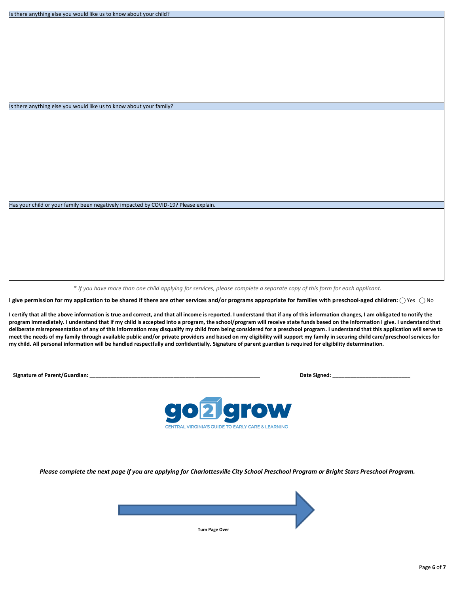Is there anything else you would like us to know about your family?

Has your child or your family been negatively impacted by COVID-19? Please explain.

*\* If you have more than one child applying for services, please complete a separate copy of this form for each applicant.*

**I give permission for my application to be shared if there are other services and/or programs appropriate for families with preschool-aged children: ◯ Yes ◯ No** 

I certify that all the above information is true and correct, and that all income is reported. I understand that if any of this information changes, I am obligated to notify the **program immediately. I understand that if my child is accepted into a program, the school/program will receive state funds based on the information I give. I understand that deliberate misrepresentation of any of this information may disqualify my child from being considered for a preschool program. I understand that this application will serve to meet the needs of my family through available public and/or private providers and based on my eligibility will support my family in securing child care/preschool services for my child. All personal information will be handled respectfully and confidentially. Signature of parent guardian is required for eligibility determination.**

**Signature of Parent/Guardian: \_\_\_\_\_\_\_\_\_\_\_\_\_\_\_\_\_\_\_\_\_\_\_\_\_\_\_\_\_\_\_\_\_\_\_\_\_\_\_\_\_\_\_\_\_\_\_\_\_\_\_\_\_\_\_\_\_ Date Signed: \_\_\_\_\_\_\_\_\_\_\_\_\_\_\_\_\_\_\_\_\_\_\_\_\_\_**



*Please complete the next page if you are applying for Charlottesville City School Preschool Program or Bright Stars Preschool Program.*